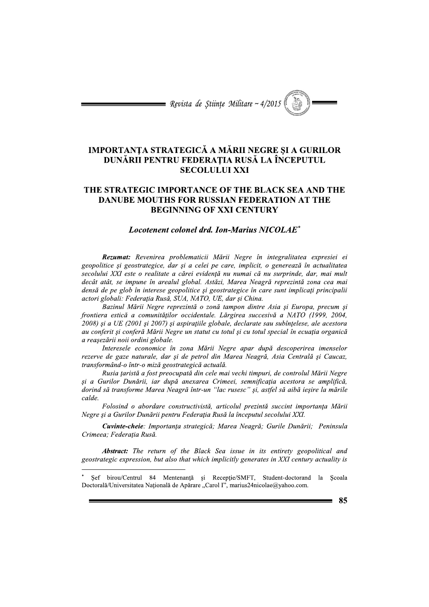= Revista de Stiințe Militare ~  $4/2015$ 

# IMPORTANȚA STRATEGICĂ A MĂRII NEGRE ȘI A GURILOR DUNĂRII PENTRU FEDERAȚIA RUSĂ LA ÎNCEPUTUL **SECOLULUI XXI**

# THE STRATEGIC IMPORTANCE OF THE BLACK SEA AND THE **DANUBE MOUTHS FOR RUSSIAN FEDERATION AT THE BEGINNING OF XXI CENTURY**

# Locotenent colonel drd. Ion-Marius NICOLAE<sup>\*</sup>

Rezumat: Revenirea problematicii Mării Negre în integralitatea expresiei ei geopolitice si geostrategice, dar si a celei pe care, implicit, o generează în actualitatea secolului XXI este o realitate a cărei evidență nu numai că nu surprinde, dar, mai mult decât atât, se impune în arealul global. Astăzi, Marea Neagră reprezintă zona cea mai densă de pe glob în interese geopolitice și geostrategice în care sunt implicați principalii actori globali: Federația Rusă, SUA, NATO, UE, dar și China.

Bazinul Mării Negre reprezintă o zonă tampon dintre Asia și Europa, precum și frontiera estică a comunităților occidentale. Lărgirea succesivă a NATO (1999, 2004, 2008) și a UE (2001 și 2007) și aspirațiile globale, declarate sau subînțelese, ale acestora au conferit și conferă Mării Negre un statut cu totul și cu totul special în ecuația organică a reașezării noii ordini globale.

Interesele economice în zona Mării Negre apar după descoperirea imenselor rezerve de gaze naturale, dar și de petrol din Marea Neagră, Asia Centrală și Caucaz, transformând-o într-o miză geostrategică actuală.

Rusia țaristă a fost preocupată din cele mai vechi timpuri, de controlul Mării Negre și a Gurilor Dunării, iar după anexarea Crimeei, semnificația acestora se amplifică, dorind să transforme Marea Neagră într-un "lac rusesc" și, astfel să aibă ieșire la mările calde.

Folosind o abordare constructivistă, articolul prezintă succint importanța Mării Negre și a Gurilor Dunării pentru Federația Rusă la începutul secolului XXI.

Cuvinte-cheie: Importanța strategică; Marea Neagră; Gurile Dunării; Peninsula Crimeea; Federația Rusă.

**Abstract:** The return of the Black Sea issue in its entirety geopolitical and geostrategic expression, but also that which implicitly generates in XXI century actuality is

Sef birou/Centrul 84 Mentenanță și Recepție/SMFT, Student-doctorand la Scoala Doctorală/Universitatea Națională de Apărare "Carol I", marius24nicolae@yahoo.com.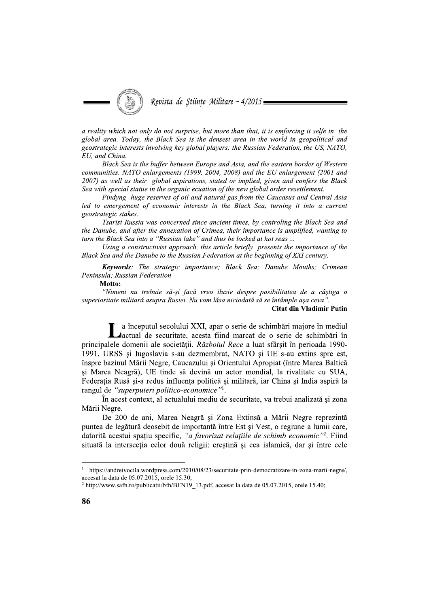

a reality which not only do not surprise, but more than that, it is emforcing it selfe in the global area. Today, the Black Sea is the densest area in the world in geopolitical and geostrategic interests involving key global players: the Russian Federation, the US, NATO, EU, and China.

Black Sea is the buffer between Europe and Asia, and the eastern border of Western communities. NATO enlargements (1999, 2004, 2008) and the EU enlargement (2001 and 2007) as well as their global aspirations, stated or implied, given and confers the Black Sea with special statue in the organic ecuation of the new global order resettlement.

Findyng huge reserves of oil and natural gas from the Caucasus and Central Asia led to emergement of economic interests in the Black Sea, turning it into a current geostrategic stakes.

Tsarist Russia was concerned since ancient times, by controling the Black Sea and the Danube, and after the annexation of Crimea, their importance is amplified, wanting to turn the Black Sea into a "Russian lake" and thus be locked at hot seas...

Using a constructivist approach, this article briefly presents the importance of the Black Sea and the Danube to the Russian Federation at the beginning of XXI century.

Keywords: The strategic importance; Black Sea; Danube Mouths; Crimean Peninsula: Russian Federation

Motto:

"Nimeni nu trebuie să-și facă vreo iluzie despre posibilitatea de a câștiga o superioritate militară asupra Rusiei. Nu vom lăsa niciodată să se întâmple așa ceva".

## **Citat din Vladimir Putin**

a începutul secolului XXI, apar o serie de schimbări majore în mediul lactual de securitate, acesta fiind marcat de o serie de schimbări în principalele domenii ale societății. Războiul Rece a luat sfârșit în perioada 1990-1991, URSS si Iugoslavia s-au dezmembrat, NATO si UE s-au extins spre est, înspre bazinul Mării Negre, Caucazului și Orientului Apropiat (între Marea Baltică si Marea Neagră), UE tinde să devină un actor mondial, la rivalitate cu SUA, Federația Rusă și-a redus influența politică și militară, iar China și India aspiră la rangul de "superputeri politico-economice"<sup>1</sup>.

În acest context, al actualului mediu de securitate, va trebui analizată și zona Mării Negre.

De 200 de ani, Marea Neagră și Zona Extinsă a Mării Negre reprezintă puntea de legătură deosebit de importantă între Est și Vest, o regiune a lumii care, datorită acestui spațiu specific, "a favorizat relațiile de schimb economic"<sup>2</sup>. Fiind situată la intersecția celor două religii: creștină și cea islamică, dar și între cele

https://andreivocila.wordpress.com/2010/08/23/securitate-prin-democratizare-in-zona-marii-negre/,  $\bf{l}$ accesat la data de 05.07.2015, orele 15.30;

<sup>&</sup>lt;sup>2</sup> http://www.safn.ro/publicatii/bfn/BFN19\_13.pdf, accesat la data de 05.07.2015, orele 15.40;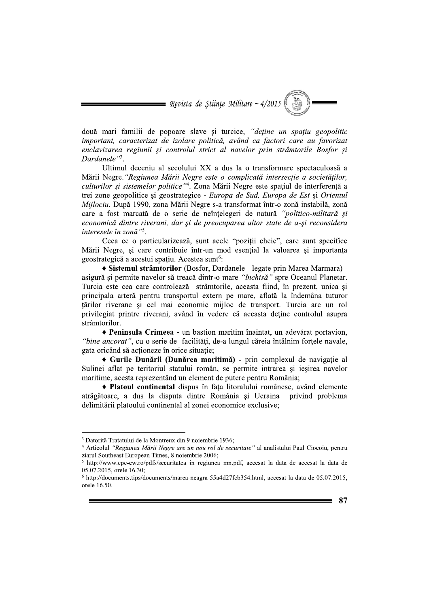= Revista de Științe Militare ~  $4/2015$ 

două mari familii de popoare slave si turcice, "detine un spatiu geopolitic important, caracterizat de izolare politică, având ca factori care au favorizat enclavizarea regiunii și controlul strict al navelor prin strâmtorile Bosfor și Dardanele"<sup>3</sup>.

Ultimul deceniu al secolului XX a dus la o transformare spectaculoasă a Mării Negre. "Regiunea Mării Negre este o complicată intersecție a societăților, culturilor și sistemelor politice"<sup>4</sup>. Zona Mării Negre este spațiul de interferență a trei zone geopolitice și geostrategice - Europa de Sud, Europa de Est și Orientul Mijlociu. După 1990, zona Mării Negre s-a transformat într-o zonă instabilă, zonă care a fost marcată de o serie de neînțelegeri de natură "politico-militară și economică dintre riverani, dar și de preocuparea altor state de a-și reconsidera interesele în zonă"<sup>5</sup>.

Ceea ce o particularizează, sunt acele "poziții cheie", care sunt specifice Mării Negre, și care contribuie într-un mod esential la valoarea și importanta geostrategică a acestui spațiu. Acestea sunt<sup>6</sup>:

· Sistemul strâmtorilor (Bosfor, Dardanele - legate prin Marea Marmara) asigură și permite navelor să treacă dintr-o mare "închisă" spre Oceanul Planetar. Turcia este cea care controlează strâmtorile, aceasta fiind, în prezent, unica si principala arteră pentru transportul extern pe mare, aflată la îndemâna tuturor țărilor riverane și cel mai economic mijloc de transport. Turcia are un rol privilegiat printre riverani, având în vedere că aceasta detine controlul asupra strâmtorilor.

• Peninsula Crimeea - un bastion maritim înaintat, un adevărat portavion, "bine ancorat", cu o serie de facilități, de-a lungul căreia întâlnim forțele navale, gata oricând să acționeze în orice situație;

• Gurile Dunării (Dunărea maritimă) - prin complexul de navigație al Sulinei aflat pe teritoriul statului român, se permite intrarea și ieșirea navelor maritime, acesta reprezentând un element de putere pentru România;

• Platoul continental dispus în fața litoralului românesc, având elemente atrăgătoare, a dus la disputa dintre România și Ucraina privind problema delimitării platoului continental al zonei economice exclusive;

<sup>&</sup>lt;sup>3</sup> Datorită Tratatului de la Montreux din 9 noiembrie 1936;

<sup>&</sup>lt;sup>4</sup> Articolul "Regiunea Mării Negre are un nou rol de securitate" al analistului Paul Ciocoiu, pentru ziarul Southeast European Times, 8 noiembrie 2006;

 $5$  http://www.cpc-ew.ro/pdfs/securitatea in regiunea mn.pdf, accesat la data de accesat la data de 05.07.2015, orele 16.30;

 $6$  http://documents.tips/documents/marea-neagra-55a4d27fcb354.html, accesat la data de 05.07.2015, orele 16.50.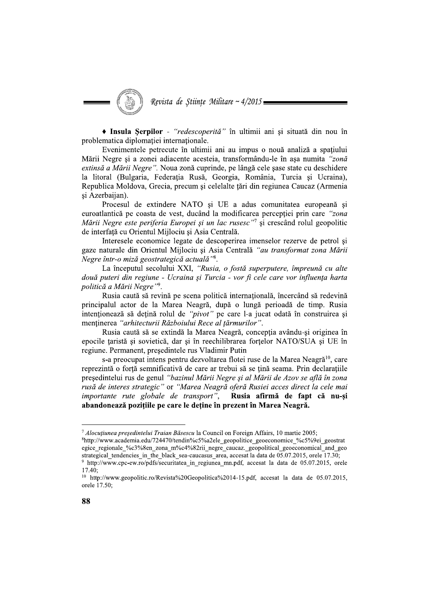• Insula Serpilor - "redescoperită" în ultimii ani și situată din nou în problematica diplomatiei internationale.

Evenimentele petrecute în ultimii ani au impus o nouă analiză a spațiului Mării Negre și a zonei adiacente acesteia, transformându-le în așa numita "zonă extinsă a Mării Negre". Noua zonă cuprinde, pe lângă cele șase state cu deschidere la litoral (Bulgaria, Federația Rusă, Georgia, România, Turcia și Ucraina), Republica Moldova, Grecia, precum si celelalte tări din regiunea Caucaz (Armenia și Azerbaijan).

Procesul de extindere NATO si UE a adus comunitatea europeană si euroatlantică pe coasta de vest, ducând la modificarea percepției prin care "zona Mării Negre este periferia Europei și un lac rusesc"<sup>7</sup> și crescând rolul geopolitic de interfață cu Orientul Mijlociu și Asia Centrală.

Interesele economice legate de descoperirea imenselor rezerve de petrol și gaze naturale din Orientul Mijlociu și Asia Centrală "au transformat zona Mării Negre într-o miză geostrategică actuală"<sup>8</sup>.

La începutul secolului XXI, "Rusia, o fostă superputere, împreună cu alte două puteri din regiune - Ucraina și Turcia - vor fi cele care vor influența harta politică a Mării Negre"9.

Rusia caută să revină pe scena politică internațională, încercând să redevină principalul actor de la Marea Neagră, după o lungă perioadă de timp. Rusia intenționează să dețină rolul de "pivot" pe care l-a jucat odată în construirea și menținerea "arhitecturii Războiului Rece al țărmurilor".

Rusia caută să se extindă la Marea Neagră, concepția avându-și originea în epocile țaristă și sovietică, dar și în reechilibrarea forțelor NATO/SUA și UE în regiune. Permanent, președintele rus Vladimir Putin

s-a preocupat intens pentru dezvoltarea flotei ruse de la Marea Neagră<sup>10</sup>, care reprezintă o forță semnificativă de care ar trebui să se țină seama. Prin declarațiile președintelui rus de genul "bazinul Mării Negre și al Mării de Azov se află în zona rusă de interes strategic" or "Marea Neagră oferă Rusiei acces direct la cele mai importante rute globale de transport", Rusia afirmă de fapt că nu-și abandonează pozițiile pe care le deține în prezent în Marea Neagră.

<sup>&</sup>lt;sup>7</sup> Alocuțiunea președintelui Traian Băsescu la Council on Foreign Affairs, 10 martie 2005;

<sup>&</sup>lt;sup>8</sup>http://www.academia.edu/724470/tendin%c5%a2ele geopolitice geoeconomice %c5%9ei geostrat egice regionale %c3%8en zona m%c4%82rii negre caucaz. geopolitical geoeconomical and geo strategical tendencies in the black sea-caucasus area, accesat la data de 05.07.2015, orele 17.30; <sup>9</sup> http://www.cpc-ew.ro/pdfs/securitatea\_in\_regiunea\_mn.pdf, accesat la data de 05.07.2015, orele

 $17.40<sup>°</sup>$ <sup>10</sup> http://www.geopolitic.ro/Revista%20Geopolitica%2014-15.pdf, accesat la data de  $05.07.2015$ , orele 17.50;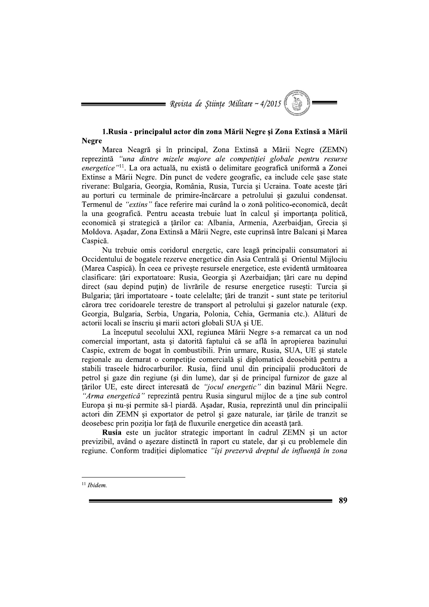$\blacksquare$  Revista de Științe Militare ~ 4/2015

# 1. Rusia - principalul actor din zona Mării Negre și Zona Extinsă a Mării **Negre**

Marea Neagră și în principal, Zona Extinsă a Mării Negre (ZEMN) reprezintă "una dintre mizele majore ale competiției globale pentru resurse *energetice* "<sup>11</sup>. La ora actuală, nu există o delimitare geografică uniformă a Zonei Extinse a Mării Negre. Din punct de vedere geografic, ea include cele șase state riverane: Bulgaria, Georgia, România, Rusia, Turcia și Ucraina. Toate aceste tări au porturi cu terminale de primire-încărcare a petrolului și gazului condensat. Termenul de "extins" face referire mai curând la o zonă politico-economică, decât la una geografică. Pentru aceasta trebuie luat în calcul și importanța politică, economică și strategică a țărilor ca: Albania, Armenia, Azerbaidjan, Grecia și Moldova. Așadar, Zona Extinsă a Mării Negre, este cuprinsă între Balcani și Marea Caspică.

Nu trebuie omis coridorul energetic, care leagă principalii consumatori ai Occidentului de bogatele rezerve energetice din Asia Centrală și Orientul Mijlociu (Marea Caspică). În ceea ce privește resursele energetice, este evidentă următoarea clasificare: tări exportatoare: Rusia, Georgia și Azerbaidian; tări care nu depind direct (sau depind puțin) de livrările de resurse energetice rusești: Turcia și Bulgaria; țări importatoare - toate celelalte; țări de tranzit - sunt state pe teritoriul cărora trec coridoarele terestre de transport al petrolului și gazelor naturale (exp. Georgia, Bulgaria, Serbia, Ungaria, Polonia, Cehia, Germania etc.), Alături de actorii locali se înscriu și marii actori globali SUA și UE.

La începutul secolului XXI, regiunea Mării Negre s-a remarcat ca un nod comercial important, asta și datorită faptului că se află în apropierea bazinului Caspic, extrem de bogat în combustibili. Prin urmare, Rusia, SUA, UE și statele regionale au demarat o competiție comercială și diplomatică deosebită pentru a stabili traseele hidrocarburilor. Rusia, fiind unul din principalii producători de petrol și gaze din regiune (și din lume), dar și de principal furnizor de gaze al țărilor UE, este direct interesată de "jocul energetic" din bazinul Mării Negre. "Arma energetică" reprezintă pentru Rusia singurul mijloc de a ține sub control Europa și nu-și permite să-l piardă. Așadar, Rusia, reprezintă unul din principalii actori din ZEMN și exportator de petrol și gaze naturale, iar țările de tranzit se deosebesc prin pozitia lor fată de fluxurile energetice din această tară.

Rusia este un jucător strategic important în cadrul ZEMN și un actor previzibil, având o așezare distinctă în raport cu statele, dar și cu problemele din regiune. Conform tradiției diplomatice "își prezervă dreptul de influență în zona

 $11$  Ibidem.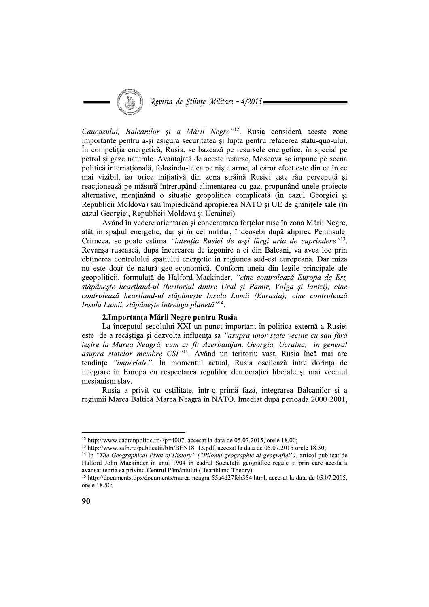Caucazului, Balcanilor și a Mării

**Canceratius** Bateantior si a Màrtii Negre <sup>21</sup>? Russia considerà a teste conte perme de perme de perme a si signa securitates și luppa pentru enfecterea statu-quo-ului.<br>In competiția energetică, Rusia, se bazează pe resa ntenția Rusiei de a-și largi aria de cuprinc mai vizibil, iar orice inițiativă din zona străină Rusiei este rău percepută și<br>
reacționează pe măsură întrerupând alimentarea cu asaz, propunând unel proiecte<br>
alermative, menținălul osituației solonolicia apropierea NA geopoliticii, formulată de Halford Mackinder, "cine controlează Europa de Est, stapaneşte heartland-ul (teritoriul dintre Ural şi Pamir, Volga şi Iantzi); cine controleaza heartland-ul stapaneşte Insula Lumu (Eurasıa); cıne controleaza Insula Lumii, stăpânește întreaga planetă''<sup>14</sup>.

neevanșa ruseasca, qupa meercarea de izgonire a ei din Balcani, va avea loc prin<br>
obținerea controlului spațiului energetic în regiunea sud-est europeană. Dar miza<br>
nu este doar de natură geo-economică. Conform uneia din l este de a recâștiga și dezvolta influența sa "asupra unor state vecine cu sau fără ieşire la Marea Neagra, cum ar fi: Azerbaidjan, Georgia, Ucraina, in general geoponutru, formulata de ratator mackmander, *cine controleaza Europa de Est,*<br>extépânește heartland-ul (teritoriul dintre Ural și Pamir, Volga și Iantzi); cine<br>controlează heartland-ul stăpânește Insula Lumii (Eurasia); c tendințe *"imperiale"*. În momentul actual, Rusia oscilează între dorința de integrare în Europa cu respectarea regulilor democratiei liberale și mai vechiul stapanes neartama-ut (tertioriul antire Ural y Family, Voiga și tantzi); cine<br>controlează heartland-ul stăpânește Insula Lumii (Eurasia); cine controlează<br>Insula Lumii, stăpânește întreaga planetă<sup>-nia</sup>.<br> **2.Importanța Mă** 

cal Pivot of History" ("Pilonul geographic al geografiei") position in that can be above 2 over 2 to 1, the 12 e 12 e 70. The distribution of the real of the solution of the case of 1 and the 4 0.5.07.2015, orele 18.00;<br>
<sup>13</sup> http://www.safh.ro/publicatii/bfn/BFN18\_13.pdf, accesat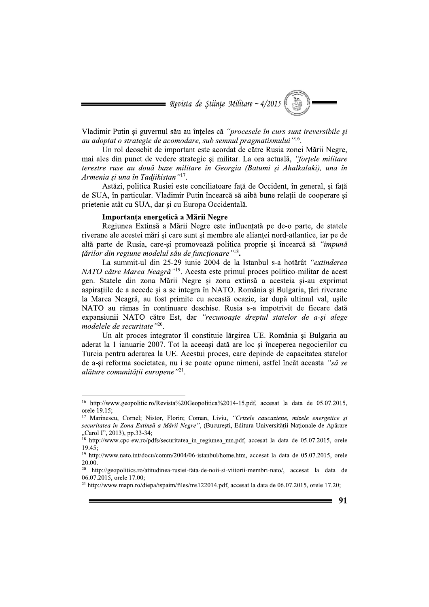= Revista de Stiințe Militare ~  $4/2015$ 

Vladimir Putin și guvernul său au înteles că "procesele în curs sunt ireversibile și au adoptat o strategie de acomodare, sub semnul pragmatismului"<sup>16</sup>.

Un rol deosebit de important este acordat de către Rusia zonei Mării Negre. mai ales din punct de vedere strategic și militar. La ora actuală, "fortele militare" terestre ruse au două baze militare în Georgia (Batumi și Ahalkalaki), una în Armenia și una în Tadjikistan"<sup>17</sup>.

Astăzi, politica Rusiei este conciliatoare fată de Occident, în general, și fată de SUA, în particular. Vladimir Putin încearcă să aibă bune relații de cooperare și prietenie atât cu SUA, dar și cu Europa Occidentală.

#### Importanța energetică a Mării Negre

Regiunea Extinsă a Mării Negre este influențată pe de-o parte, de statele riverane ale acestei mări și care sunt și membre ale alianței nord-atlantice, iar pe de altă parte de Rusia, care-și promovează politica proprie și încearcă să "impună tărilor din regiune modelul său de funcționare"<sup>18</sup>.

La summit-ul din 25-29 iunie 2004 de la Istanbul s-a hotărât "extinderea NATO către Marea Neagră"<sup>19</sup>. Acesta este primul proces politico-militar de acest gen. Statele din zona Mării Negre și zona extinsă a acesteia și-au exprimat aspiratiile de a accede si a se integra în NATO. România și Bulgaria, tări riverane la Marea Neagră, au fost primite cu această ocazie, iar după ultimul val, usile NATO au rămas în continuare deschise. Rusia s-a împotrivit de fiecare dată expansiunii NATO către Est, dar "recunoaște dreptul statelor de a-și alege modelele de securitate"<sup>20</sup>.

Un alt proces integrator îl constituie lărgirea UE. România și Bulgaria au aderat la 1 ianuarie 2007. Tot la aceeasi dată are loc și începerea negocierilor cu Turcia pentru aderarea la UE. Acestui proces, care depinde de capacitatea statelor de a-si reforma societatea, nu i se poate opune nimeni, astfel încât aceasta "să se alăture comunității europene"<sup>21</sup>.

<sup>&</sup>lt;sup>16</sup> http://www.geopolitic.ro/Revista%20Geopolitica%2014-15.pdf, accesat la data de 05.07.2015, orele 19.15:

<sup>&</sup>lt;sup>17</sup> Marinescu, Cornel; Nistor, Florin; Coman, Liviu, "Crizele caucaziene, mizele energetice și securitatea în Zona Extinsă a Mării Negre", (București, Editura Universității Naționale de Apărare "Carol I", 2013), pp.33-34;<br><sup>18</sup> http://www.cpc-ew.ro/pdfs/securitatea\_in\_regiunea\_mn.pdf, accesat la data de 05.07.2015, orele

 $19.45$ 

<sup>&</sup>lt;sup>19</sup> http://www.nato.int/docu/comm/2004/06-istanbul/home.htm, accesat la data de 05.07.2015, orele 20.00.

<sup>&</sup>lt;sup>20</sup> http://geopolitics.ro/atitudinea-rusiei-fata-de-noii-si-viitorii-membri-nato/, accesat la data de 06.07.2015, orele 17.00;

<sup>&</sup>lt;sup>21</sup> http://www.mapn.ro/diepa/ispaim/files/ms122014.pdf, accesat la data de 06.07.2015, orele 17.20;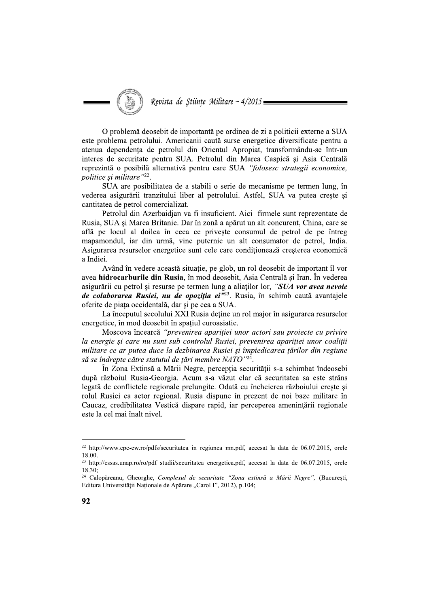O problemă deosebit de importantă pe ordinea de zi a politicii externe a SUA este problema petrolului. Americanii caută surse energetice diversificate pentru a atenua dependenta de petrolul din Orientul Apropiat, transformându-se într-un interes de securitate pentru SUA. Petrolul din Marea Caspică și Asia Centrală reprezintă o posibilă alternativă pentru care SUA "folosesc strategii economice, politice și militare"22.

SUA are posibilitatea de a stabili o serie de mecanisme pe termen lung, în vederea asigurării tranzitului liber al petrolului. Astfel, SUA va putea crește și cantitatea de petrol comercializat.

Petrolul din Azerbaidjan va fi insuficient. Aici firmele sunt reprezentate de Rusia, SUA și Marea Britanie. Dar în zonă a apărut un alt concurent, China, care se află pe locul al doilea în ceea ce privește consumul de petrol de pe întreg mapamondul, iar din urmă, vine puternic un alt consumator de petrol, India. Asigurarea resurselor energetice sunt cele care conditionează cresterea economică a Indiei.

Având în vedere această situație, pe glob, un rol deosebit de important îl vor avea hidrocarburile din Rusia, în mod deosebit, Asia Centrală și Iran. În vederea asigurării cu petrol și resurse pe termen lung a aliaților lor, "SUA vor avea nevoie de colaborarea Rusiei, nu de opoziția ei<sup>y23</sup>. Rusia, în schimb caută avantajele oferite de piața occidentală, dar și pe cea a SUA.

La începutul secolului XXI Rusia detine un rol major în asigurarea resurselor energetice, în mod deosebit în spațiul euroasiatic.

Moscova încearcă "prevenirea apariției unor actori sau proiecte cu privire la energie și care nu sunt sub controlul Rusiei, prevenirea apariției unor coaliții militare ce ar putea duce la dezbinarea Rusiei și împiedicarea țărilor din regiune să se îndrepte către statutul de țări membre NATO"<sup>24</sup>.

În Zona Extinsă a Mării Negre, percepția securității s-a schimbat îndeosebi după războiul Rusia-Georgia. Acum s-a văzut clar că securitatea sa este strâns legată de conflictele regionale prelungite. Odată cu încheierea războiului crește și rolul Rusiei ca actor regional. Rusia dispune în prezent de noi baze militare în Caucaz, credibilitatea Vestică dispare rapid, iar perceperea amenințării regionale este la cel mai înalt nivel.

<sup>&</sup>lt;sup>22</sup> http://www.cpc-ew.ro/pdfs/securitatea\_in\_regiunea\_mn.pdf, accesat la data de 06.07.2015, orele 18.00

<sup>&</sup>lt;sup>23</sup> http://cssas.unap.ro/ro/pdf studii/securitatea energetica.pdf, accesat la data de 06.07.2015, orele  $18.30<sup>°</sup>$ 

<sup>&</sup>lt;sup>24</sup> Calopăreanu, Gheorghe, Complexul de securitate "Zona extinsă a Mării Negre", (București, Editura Universității Naționale de Apărare "Carol I", 2012), p.104;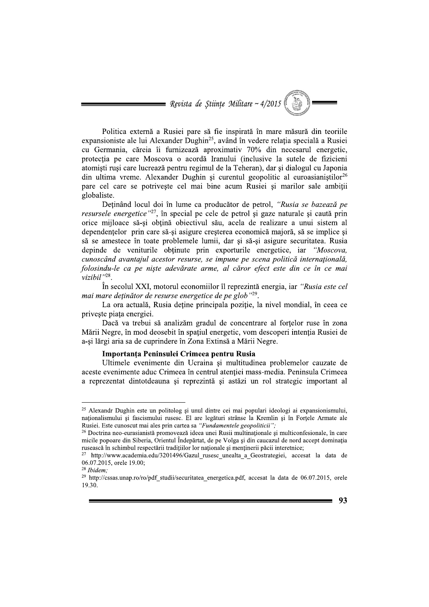= Revista de Științe Militare ~  $4/2015$ 

Politica externă a Rusiei pare să fie inspirată în mare măsură din teoriile expansioniste ale lui Alexander Dughin<sup>25</sup>, având în vedere relația specială a Rusiei cu Germania, căreia îi furnizează aproximativ 70% din necesarul energetic, protecția pe care Moscova o acordă Iranului (inclusive la sutele de fizicieni atomisti rusi care lucrează pentru regimul de la Teheran), dar si dialogul cu Japonia din ultima vreme. Alexander Dughin și curentul geopolitic al euroasianiștilor<sup>26</sup> pare cel care se potrivește cel mai bine acum Rusiei si marilor sale ambitii globaliste.

Detinând locul doi în lume ca producător de petrol, "Rusia se bazează pe resursele energetice"<sup>27</sup>, în special pe cele de petrol și gaze naturale și caută prin orice mijloace să-și obțină obiectivul său, acela de realizare a unui sistem al dependențelor prin care să-și asigure creșterea economică majoră, să se implice și să se amestece în toate problemele lumii, dar și să-și asigure securitatea. Rusia depinde de veniturile obtinute prin exporturile energetice, iar "Moscova, cunoscând avantajul acestor resurse, se impune pe scena politică internatională, folosindu-le ca pe niste adevărate arme, al căror efect este din ce în ce mai vizibil"28.

În secolul XXI, motorul economiilor îl reprezintă energia, iar "Rusia este cel mai mare deținător de resurse energetice de pe glob"29.

La ora actuală, Rusia detine principala pozitie, la nivel mondial, în ceea ce priveste piata energiei.

Dacă va trebui să analizăm gradul de concentrare al forțelor ruse în zona Mării Negre, în mod deosebit în spațiul energetic, vom descoperi intenția Rusiei de a-și lărgi aria sa de cuprindere în Zona Extinsă a Mării Negre.

# Importanta Peninsulei Crimeea pentru Rusia

Ultimele evenimente din Ucraina și multitudinea problemelor cauzate de aceste evenimente aduc Crimeea în centrul atentiei mass-media. Peninsula Crimeea a reprezentat dintotdeauna și reprezintă și astăzi un rol strategic important al

<sup>&</sup>lt;sup>25</sup> Alexandr Dughin este un politolog și unul dintre cei mai populari ideologi ai expansionismului, naționalismului și fascismului rusesc. El are legături strânse la Kremlin și în Forțele Armate ale Rusiei. Este cunoscut mai ales prin cartea sa "Fundamentele geopoliticii";

<sup>26</sup> Doctrina neo-eurasianistă promovează ideea unei Rusii multinaționale și multiconfesionale, în care micile popoare din Siberia, Orientul Îndepărtat, de pe Volga și din caucazul de nord accept dominația rusească în schimbul respectării tradițiilor lor naționale și menținerii păcii interetnice;

<sup>&</sup>lt;sup>27</sup> http://www.academia.edu/3201496/Gazul rusesc unealta a Geostrategiei, accesat la data de 06.07.2015, orele 19.00;

 $28$  Ibidem:

<sup>&</sup>lt;sup>29</sup> http://cssas.unap.ro/ro/pdf studii/securitatea energetica.pdf, accesat la data de 06.07.2015, orele 19.30.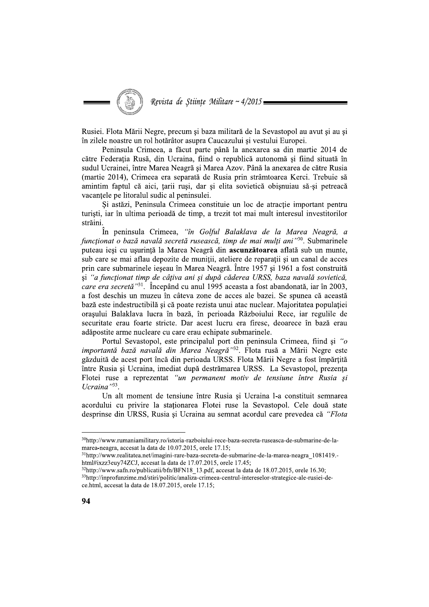Revista de Stiințe Militare ~  $4/2015 =$ 

Rusiei. Flota Mării Negre, precum și baza militară de la Sevastopol au avut și au si în zilele noastre un rol hotărâtor asupra Caucazului și vestului Europei.

Peninsula Crimeea, a făcut parte până la anexarea sa din martie 2014 de către Federația Rusă, din Ucraina, fiind o republică autonomă și fiind situată în sudul Ucrainei, între Marea Neagră și Marea Azov. Până la anexarea de către Rusia (martie 2014), Crimeea era separată de Rusia prin strâmtoarea Kerci. Trebuie să amintim faptul că aici, tarii rusi, dar și elita sovietică obisnuiau să-si petreacă vacantele pe litoralul sudic al peninsulei.

Si astăzi, Peninsula Crimeea constituie un loc de atractie important pentru turiști, iar în ultima perioadă de timp, a trezit tot mai mult interesul investitorilor străini.

În peninsula Crimeea, "în Golful Balaklava de la Marea Neagră, a functionat o bază navală secretă rusească, timp de mai multi ani<sup>130</sup>. Submarinele puteau iesi cu usurintă la Marea Neagră din ascunzătoarea aflată sub un munte, sub care se mai aflau depozite de munitii, ateliere de reparatii si un canal de acces prin care submarinele ieseau în Marea Neagră. Între 1957 și 1961 a fost construită si "a functionat timp de câțiva ani și după căderea URSS, baza navală sovietică, care era secretă<sup>"31</sup>. Începând cu anul 1995 aceasta a fost abandonată, iar în 2003, a fost deschis un muzeu în câteva zone de acces ale bazei. Se spunea că această bază este indestructibilă și că poate rezista unui atac nuclear. Maioritatea populatiei orasului Balaklava lucra în bază, în perioada Războiului Rece, iar regulile de securitate erau foarte stricte. Dar acest lucru era firesc, deoarece în bază erau adăpostite arme nucleare cu care erau echipate submarinele.

Portul Sevastopol, este principalul port din peninsula Crimeea, fiind și "o *importantă bază navală din Marea Neagră*<sup>33</sup>. Flota rusă a Mării Negre este găzduită de acest port încă din perioada URSS. Flota Mării Negre a fost împărțită între Rusia și Ucraina, imediat după destrămarea URSS. La Sevastopol, prezența Flotei ruse a reprezentat "un permanent motiv de tensiune între Rusia și Ucraina<sup> $33$ </sup>.

Un alt moment de tensiune între Rusia și Ucraina l-a constituit semnarea acordului cu privire la staționarea Flotei ruse la Sevastopol. Cele două state desprinse din URSS, Rusia și Ucraina au semnat acordul care prevedea că "Flota

<sup>&</sup>lt;sup>30</sup>http://www.rumaniamilitary.ro/istoria-razboiului-rece-baza-secreta-ruseasca-de-submarine-de-lamarea-neagra, accesat la data de 10.07.2015, orele 17.15;

 $31$ http://www.realitatea.net/imagini-rare-baza-secreta-de-submarine-de-la-marea-neagra  $1081419$ html#ixzz3euy74ZCJ, accesat la data de 17.07.2015, orele 17.45;

<sup>&</sup>lt;sup>32</sup>http://www.safn.ro/publicatii/bfn/BFN18 13.pdf, accesat la data de 18.07.2015, orele 16.30; <sup>33</sup>http://inprofunzime.md/stiri/politic/analiza-crimeea-centrul-intereselor-strategice-ale-rusiei-dece.html, accesat la data de 18.07.2015, orele 17.15;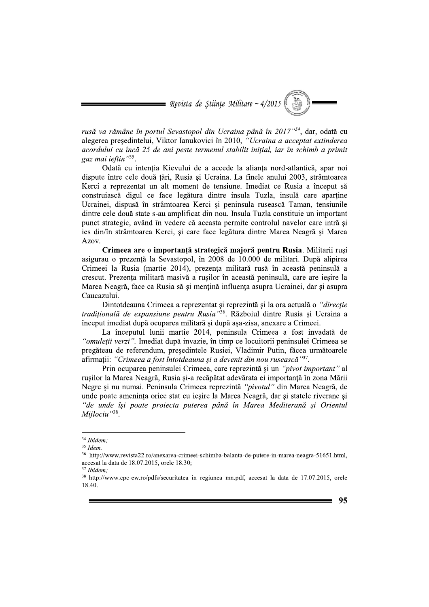$\blacksquare$  Revista de Științe Militare ~ 4/2015

rusă va rămâne în portul Sevastopol din Ucraina până în 2017<sup>34</sup>, dar, odată cu alegerea președintelui, Viktor Ianukovici în 2010, "Ucraina a acceptat extinderea acordului cu încă 25 de ani peste termenul stabilit initial, iar în schimb a primit gaz mai ieftin<sup>35</sup>.

Odată cu intentia Kievului de a accede la alianta nord-atlantică, apar noi dispute între cele două țări, Rusia și Ucraina. La finele anului 2003, strâmtoarea Kerci a reprezentat un alt moment de tensiune. Imediat ce Rusia a început să construiască digul ce face legătura dintre insula Tuzla, insulă care aparține Ucrainei, dispusă în strâmtoarea Kerci și peninsula rusească Taman, tensiunile dintre cele două state s-au amplificat din nou. Insula Tuzla constituie un important punct strategic, având în vedere că aceasta permite controlul navelor care intră și ies din/în strâmtoarea Kerci, și care face legătura dintre Marea Neagră și Marea Azov.

Crimeea are o importantă strategică majoră pentru Rusia. Militarii rusi asigurau o prezentă la Sevastopol, în 2008 de 10.000 de militari. După alipirea Crimeei la Rusia (martie 2014), prezența militară rusă în această peninsulă a crescut. Prezenta militară masivă a rusilor în această peninsulă, care are iesire la Marea Neagră, face ca Rusia să-și mențină influența asupra Ucrainei, dar și asupra Caucazului.

Dintotdeauna Crimeea a reprezentat și reprezintă și la ora actuală o "direcție traditională de expansiune pentru Rusia<sup>,36</sup>. Războiul dintre Rusia și Ucraina a început imediat după ocuparea militară și după așa-zisa, anexare a Crimeei.

La începutul lunii martie 2014, peninsula Crimeea a fost invadată de "omuleții verzi". Imediat după invazie, în timp ce locuitorii peninsulei Crimeea se pregăteau de referendum, președintele Rusiei, Vladimir Putin, făcea următoarele afirmații: "Crimeea a fost întotdeauna și a devenit din nou rusească"37.

Prin ocuparea peninsulei Crimeea, care reprezintă și un "pivot important" al rușilor la Marea Neagră, Rusia și-a recăpătat adevărata ei importanță în zona Mării Negre și nu numai. Peninsula Crimeea reprezintă "pivotul" din Marea Neagră, de unde poate amenința orice stat cu ieșire la Marea Neagră, dar și statele riverane și "de unde își poate proiecta puterea până în Marea Mediterană și Orientul Mijlociu"38.

 $34$  Ibidem:

 $35$  Idem.

<sup>&</sup>lt;sup>36</sup> http://www.revista22.ro/anexarea-crimeei-schimba-balanta-de-putere-in-marea-neagra-51651.html, accesat la data de 18.07.2015, orele 18.30;

 $37$  Ihidem.

<sup>&</sup>lt;sup>38</sup> http://www.cpc-ew.ro/pdfs/securitatea in regiunea mn.pdf, accesat la data de 17.07.2015, orele 18.40.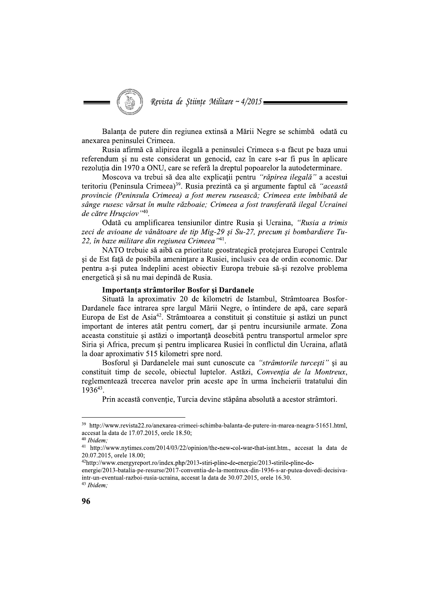Revista de Științe Militare ~ 4/2015

Balanta de putere din regiunea extinsă a Mării Negre se schimbă odată cu anexarea peninsulei Crimeea.

Rusia afirmă că alipirea ilegală a peninsulei Crimeea s-a făcut pe baza unui referendum și nu este considerat un genocid, caz în care s-ar fi pus în aplicare rezoluția din 1970 a ONU, care se referă la dreptul popoarelor la autodeterminare.

Moscova va trebui să dea alte explicații pentru "răpirea ilegală" a acestui teritoriu (Peninsula Crimeea)<sup>39</sup>. Rusia prezintă ca și argumente faptul că "această provincie (Peninsula Crimeea) a fost mereu rusească; Crimeea este îmbibată de sânge rusesc vărsat în multe războaie; Crimeea a fost transferată ilegal Ucrainei de către Hrușciov"40.

Odată cu amplificarea tensiunilor dintre Rusia și Ucraina, "Rusia a trimis" zeci de avioane de vânătoare de tip Mig-29 și Su-27, precum și bombardiere Tu-22, în baze militare din regiunea Crimeea<sup>"41</sup>.

NATO trebuie să aibă ca prioritate geostrategică protejarea Europei Centrale si de Est fată de posibila amenintare a Rusiei, inclusiv cea de ordin economic. Dar pentru a-și putea îndeplini acest obiectiv Europa trebuie să-și rezolve problema energetică și să nu mai depindă de Rusia.

# Importanta strâmtorilor Bosfor și Dardanele

Situată la aproximativ 20 de kilometri de Istambul, Strâmtoarea Bosfor-Dardanele face intrarea spre largul Mării Negre, o întindere de apă, care separă Europa de Est de Asia<sup>42</sup>. Strâmtoarea a constituit și constituie și astăzi un punct important de interes atât pentru comert, dar și pentru incursiunile armate. Zona aceasta constituie și astăzi o importanță deosebită pentru transportul armelor spre Siria și Africa, precum și pentru implicarea Rusiei în conflictul din Ucraina, aflată la doar aproximativ 515 kilometri spre nord.

Bosforul si Dardanelele mai sunt cunoscute ca "strâmtorile turcești" si au constituit timp de secole, objectul luptelor. Astăzi, Convenția de la Montreux, reglementează trecerea navelor prin aceste ape în urma încheierii tratatului din 193643.

Prin această conventie. Turcia devine stăpâna absolută a acestor strâmtori.

<sup>&</sup>lt;sup>39</sup> http://www.revista22.ro/anexarea-crimeei-schimba-balanta-de-putere-in-marea-neagra-51651.html, accesat la data de 17.07.2015, orele 18.50;

<sup>&</sup>lt;sup>40</sup> Ibidem;

<sup>&</sup>lt;sup>41</sup> http://www.nytimes.com/2014/03/22/opinion/the-new-col-war-that-isnt.htm., accesat la data de 20.07.2015, orele 18.00;

<sup>42</sup>http://www.energyreport.ro/index.php/2013-stiri-pline-de-energie/2013-stirile-pline-de-

energie/2013-batalia-pe-resurse/2017-conventia-de-la-montreux-din-1936-s-ar-putea-dovedi-decisivaintr-un-eventual-razboi-rusia-ucraina, accesat la data de 30.07.2015, orele 16.30.

<sup>&</sup>lt;sup>43</sup> Ibidem;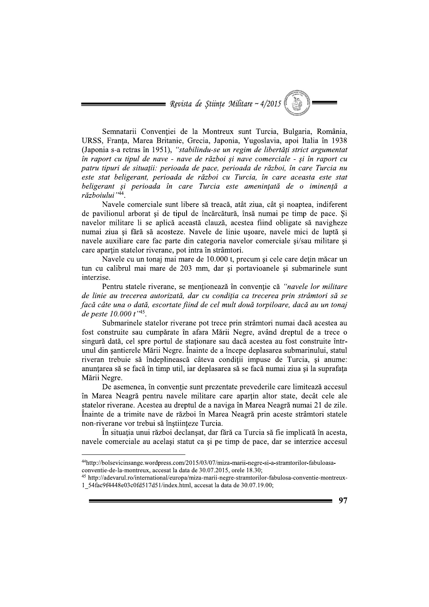Semnatarii Convenției de la Montreux sunt Turcia, Bulgaria, Romania, URSS, Franța, Marea Britanie, Grec Revista de Științe Militare ~ 4/2015<br>
Semnatarii Convenției de la Montreux sunt Turcia, Bulgaria, România,<br>
URSS, Franța, Marea Britanie, Grecia, Japonia, Yugoslavia, apoi Italia în 1938<br>
(Japonia s-a retras în 1951), "st (Japonia s-a retras în 1951), "stabilindu-se un regim de libertăți strict argumentat în raport cu tipul de nave - nave de război și nave comerciale - și în raport cu Revista de Științe Militare ~ 4/2015<br>
Semnatarii Convenției de la Montreux sunt Turcia, Bulgaria, România,<br>
URSS, Franța, Marea Britanie, Grecia, Japonia, Yugoslavia, apoi Italia în 1938<br>
(Japonia s-a retras în 1951), "st

ciale sunt libere să treacă, atat ziua, cat și noaptea, indiferent de pavilionul arborat și de tipul de incarcatura, insa numai pe timp de pace. Și navelor militare li se aplica aceasta clauza, acestea fiind obligate sa navigheze numai ziua și fără să acosteze. Navele de linie ușoare, navele mici de luptă și navele auxiliare care fac parte din categoria navelor comerciale și/sau militare și care aparțin statelor riverane, pot intra in stramtori.

Navele cu un tonaj mai mare de 10.000 t, precum și cele care dețin macar un tun cu calibrul mai mare de 203 mm, dar și portavioanele și submarinele sunt interzise.

Pentru statele riverane, se menționeaza in convenție ca "*navele lor militare* de linie au trecerea autorizată, dar cu condiția ca trecerea prin strâmtori să se facă câte una o dată, escortate fiind de cel mult două torpiloare, dacă au un tonai de peste  $10.000 t^{\gamma 45}$ .

Submarinele statelor riverane pot trece prin stramtori numai daca acestea au fost construite sau cumparate in afara Marii Negre, avand dreptul de a trece o singura data, cel spre portul de staționare sau dacă acestea au fost construite intrunul din şantierele Marii Negre. Inainte de a incepe deplasarea submarinului, statul riveran trebuie sa indeplineasca cateva condiții impuse de Turcia, și anume: anunțarea sa se faca in timp util, iar deplasarea sa se faca numai ziua și la suprafața Mårii Negre.<br>—

De asemenea, in convenție sunt prezentate prevederile care limiteaza accesul in Marea Neagra pentru navele militare care aparțin altor state, decat cele ale statelor riverane. Acestea au dreptul de a naviga in Marea Neagra numai 21 de zile.<br>^ Inainte de a trimite nave de razboi in Marea Neagra prin aceste stramtori statele non-riverane vor trebui sa inștiințeze Turcia.

In situația unui razboi declanșat, dar fara ca Turcia sa fie implicata in acesta, navele comerciale au același statut ca și pe timp de pace, dar se interzice accesul

<sup>&</sup>lt;sup>45</sup> http://adevarul.ro/international/europa/miza-marii-negre-stramtorilor-fabulosa-conventie-montreux-1 54fac9f4448e03c0fd517d51/index.html, accesat la data de 30.07.19.00;



<sup>&</sup>lt;sup>44</sup>http://bolsevicinsange.wordpress.com/2015/03/07/miza-marii-negre-si-a-stramtorilor-fabuloasa-conventie-de-la-montreux, accesat la data de 30.07.2015, orele 18.30;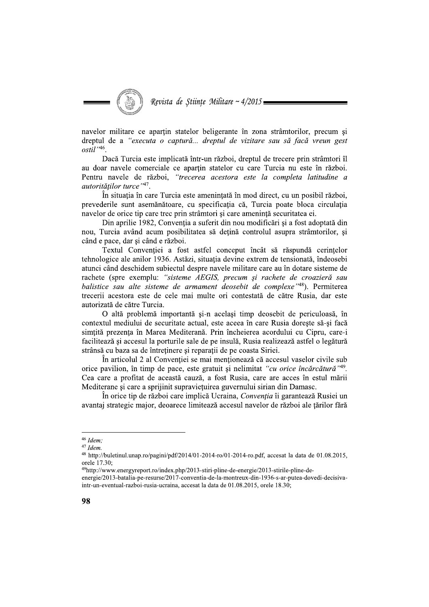Revista de Stiințe Militare ~ 4/2015

navelor militare ce apartin statelor beligerante în zona strâmtorilor, precum si dreptul de a "executa o captură... dreptul de vizitare sau să facă vreun gest  $o$ stil $^{\cdot,46}$ 

Dacă Turcia este implicată într-un război, dreptul de trecere prin strâmtori îl au doar navele comerciale ce apartin statelor cu care Turcia nu este în război. Pentru navele de război, "trecerea acestora este la completa latitudine a autorităților turce"47.

În situația în care Turcia este amenințată în mod direct, cu un posibil război, prevederile sunt asemănătoare, cu specificația că, Turcia poate bloca circulația navelor de orice tip care trec prin strâmtori și care amenință securitatea ei.

Din aprilie 1982, Convenția a suferit din nou modificări și a fost adoptată din nou, Turcia având acum posibilitatea să dețină controlul asupra strâmtorilor, și când e pace, dar si când e război.

Textul Conventiei a fost astfel conceput încât să răspundă cerintelor tehnologice ale anilor 1936. Astăzi, situatia devine extrem de tensionată, îndeosebi atunci când deschidem subiectul despre navele militare care au în dotare sisteme de rachete (spre exemplu: "sisteme AEGIS, precum și rachete de croazieră sau balistice sau alte sisteme de armament deosebit de complexe<sup>148</sup>). Permiterea trecerii acestora este de cele mai multe ori contestată de către Rusia, dar este autorizată de către Turcia.

O altă problemă importantă și-n același timp deosebit de periculoasă, în contextul mediului de securitate actual, este aceea în care Rusia doreste să-și facă simțită prezența în Marea Mediterană. Prin încheierea acordului cu Cipru, care-i facilitează și accesul la porturile sale de pe insulă, Rusia realizează astfel o legătură strânsă cu baza sa de întreținere și reparații de pe coasta Siriei.

În articolul 2 al Convenției se mai menționează că accesul vaselor civile sub orice pavilion, în timp de pace, este gratuit și nelimitat "cu orice încărcătură"<sup>49</sup>. Cea care a profitat de această cauză, a fost Rusia, care are acces în estul mării Mediterane și care a sprijinit supraviețuirea guvernului sirian din Damasc.

În orice tip de război care implică Ucraina, Convenția îi garantează Rusiei un avantaj strategic major, deoarece limitează accesul navelor de război ale țărilor fără

 $46$  Idem:

 $47$  Idem.

<sup>&</sup>lt;sup>48</sup> http://buletinul.unap.ro/pagini/pdf/2014/01-2014-ro/01-2014-ro.pdf, accesat la data de 01.08.2015, orele 17.30:

<sup>&</sup>lt;sup>49</sup>http://www.energyreport.ro/index.php/2013-stiri-pline-de-energie/2013-stirile-pline-de-

energie/2013-batalia-pe-resurse/2017-conventia-de-la-montreux-din-1936-s-ar-putea-dovedi-decisivaintr-un-eventual-razboi-rusia-ucraina, accesat la data de 01.08.2015, orele 18.30;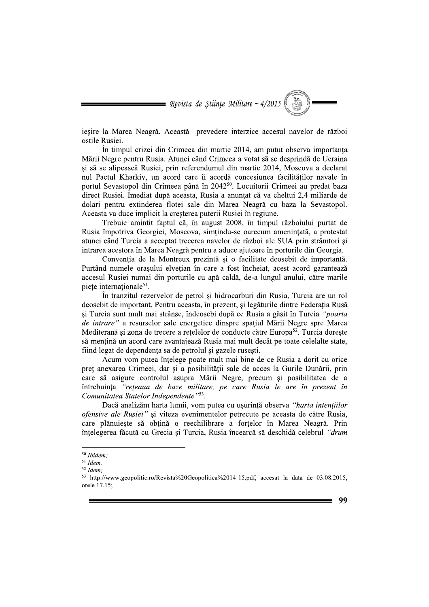$\blacksquare$  Revista de Științe Militare ~ 4/2015

jesire la Marea Neagră. Această prevedere interzice accesul navelor de război ostile Rusiei.

În timpul crizei din Crimeea din martie 2014, am putut observa importanta Mării Negre pentru Rusia. Atunci când Crimeea a votat să se desprindă de Ucraina și să se alipească Rusiei, prin referendumul din martie 2014, Moscova a declarat nul Pactul Kharkiv, un acord care îi acordă concesiunea facilităților navale în portul Sevastopol din Crimeea până în 2042<sup>50</sup>. Locuitorii Crimeei au predat baza direct Rusiei. Imediat după aceasta, Rusia a anunțat că va cheltui 2,4 miliarde de dolari pentru extinderea flotei sale din Marea Neagră cu baza la Sevastopol. Aceasta va duce implicit la creșterea puterii Rusiei în regiune.

Trebuie amintit faptul că, în august 2008, în timpul războiului purtat de Rusia împotriva Georgiei, Moscova, simțindu-se oarecum amenințată, a protestat atunci când Turcia a acceptat trecerea navelor de război ale SUA prin strâmtori și intrarea acestora în Marea Neagră pentru a aduce ajutoare în porturile din Georgia.

Conventia de la Montreux prezintă și o facilitate deosebit de importantă. Purtând numele orașului elvetian în care a fost încheiat, acest acord garantează accesul Rusiei numai din porturile cu apă caldă, de-a lungul anului, către marile piețe internaționale<sup>51</sup>.

În tranzitul rezervelor de petrol și hidrocarburi din Rusia, Turcia are un rol deosebit de important. Pentru aceasta, în prezent, și legăturile dintre Federația Rusă si Turcia sunt mult mai strânse, îndeosebi după ce Rusia a găsit în Turcia "*poarta* de intrare" a resurselor sale energetice dinspre spațiul Mării Negre spre Marea Mediterană și zona de trecere a rețelelor de conducte către Europa<sup>52</sup>. Turcia dorește să mentină un acord care avantajează Rusia mai mult decât pe toate celelalte state, fiind legat de dependența sa de petrolul și gazele rusești.

Acum vom putea înțelege poate mult mai bine de ce Rusia a dorit cu orice preț anexarea Crimeei, dar și a posibilității sale de acces la Gurile Dunării, prin care să asigure controlul asupra Mării Negre, precum și posibilitatea de a întrebuinta "reteaua de baze militare, pe care Rusia le are în prezent în Comunitatea Statelor Independente<sup>153</sup>.

Dacă analizăm harta lumii, vom putea cu ușurință observa "harta intențiilor ofensive ale Rusiei" și viteza evenimentelor petrecute pe aceasta de către Rusia, care plănuieste să obtină o reechilibrare a fortelor în Marea Neagră. Prin înțelegerea făcută cu Grecia și Turcia, Rusia încearcă să deschidă celebrul "drum

<sup>&</sup>lt;sup>50</sup> Ibidem;

 $51$  Idem.

 $52$  *Idem*:

<sup>&</sup>lt;sup>53</sup> http://www.geopolitic.ro/Revista%20Geopolitica%2014-15.pdf, accesat la data de 03.08.2015, orele 17.15;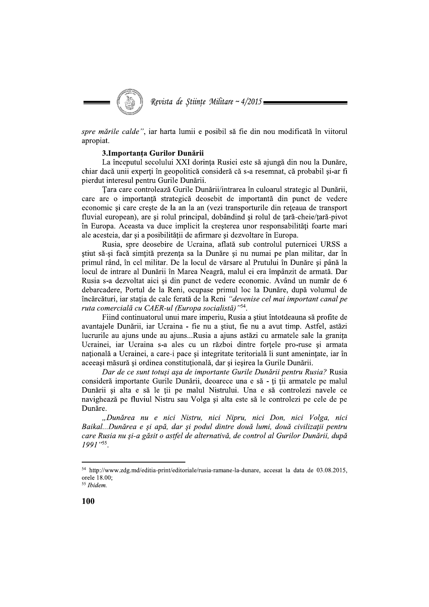Revista de Stiințe Militare ~  $4/2015$ 

spre mările calde", iar harta lumii e posibil să fie din nou modificată în viitorul apropiat.

### 3.Importanța Gurilor Dunării

La începutul secolului XXI dorința Rusiei este să ajungă din nou la Dunăre, chiar dacă unii experți în geopolitică consideră că s-a resemnat, că probabil și-ar fi pierdut interesul pentru Gurile Dunării.

Țara care controlează Gurile Dunării/intrarea în culoarul strategic al Dunării, care are o importanță strategică deosebit de importantă din punct de vedere economic și care crește de la an la an (vezi transporturile din rețeaua de transport fluvial european), are și rolul principal, dobândind și rolul de țară-cheie/țară-pivot în Europa. Aceasta va duce implicit la cresterea unor responsabilități foarte mari ale acesteia, dar și a posibilității de afirmare și dezvoltare în Europa.

Rusia, spre deosebire de Ucraina, aflată sub controlul puternicei URSS a stiut să-și facă simțită prezența sa la Dunăre și nu numai pe plan militar, dar în primul rând, în cel militar. De la locul de vărsare al Prutului în Dunăre și până la locul de intrare al Dunării în Marea Neagră, malul ei era împânzit de armată. Dar Rusia s-a dezvoltat aici si din punct de vedere economic. Având un număr de 6 debarcadere, Portul de la Reni, ocupase primul loc la Dunăre, după volumul de încărcături, iar stația de cale ferată de la Reni "devenise cel mai important canal pe ruta comercială cu CAER-ul (Europa socialistă)"54.

Fiind continuatorul unui mare imperiu, Rusia a știut întotdeauna să profite de avantajele Dunării, iar Ucraina - fie nu a știut, fie nu a avut timp. Astfel, astăzi lucrurile au ajuns unde au ajuns...Rusia a ajuns astăzi cu armatele sale la granița Ucrainei, iar Ucraina s-a ales cu un război dintre forțele pro-ruse și armata natională a Ucrainei, a care-i pace și integritate teritorială îi sunt amenintate, iar în aceeași măsură și ordinea constituțională, dar și ieșirea la Gurile Dunării.

Dar de ce sunt totuși așa de importante Gurile Dunării pentru Rusia? Rusia consideră importante Gurile Dunării, deoarece una e să - ți ții armatele pe malul Dunării și alta e să le ții pe malul Nistrului. Una e să controlezi navele ce navighează pe fluviul Nistru sau Volga și alta este să le controlezi pe cele de pe Dunăre.

"Dunărea nu e nici Nistru, nici Nipru, nici Don, nici Volga, nici Baikal...Dunărea e și apă, dar și podul dintre două lumi, două civilizații pentru care Rusia nu și-a găsit o astfel de alternativă, de control al Gurilor Dunării, după 1991"55.

<sup>&</sup>lt;sup>54</sup> http://www.zdg.md/editia-print/editoriale/rusia-ramane-la-dunare, accesat la data de 03.08.2015, orele 18.00;

<sup>&</sup>lt;sup>55</sup> Ibidem.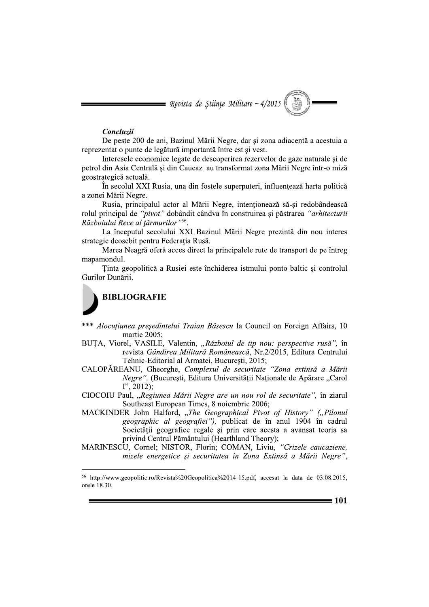= Revista de Stiințe Militare ~ 4/2015

### Concluzii

De peste 200 de ani, Bazinul Mării Negre, dar și zona adiacentă a acestuia a reprezentat o punte de legătură importantă între est si vest.

Interesele economice legate de descoperirea rezervelor de gaze naturale și de petrol din Asia Centrală și din Caucaz au transformat zona Mării Negre într-o miză geostrategică actuală.

În secolul XXI Rusia, una din fostele superputeri, influențează harta politică a zonei Mării Negre.

Rusia, principalul actor al Mării Negre, intentionează să-si redobândească rolul principal de "pivot" dobândit cândva în construirea și păstrarea "arhitecturii Războiului Rece al țărmurilor"56.

La începutul secolului XXI Bazinul Mării Negre prezintă din nou interes strategic deosebit pentru Federația Rusă.

Marea Neagră oferă acces direct la principalele rute de transport de pe întreg mapamondul.

Tinta geopolitică a Rusiei este închiderea istmului ponto-baltic și controlul Gurilor Dunării.



- \*\*\* Alocuțiunea președintelui Traian Băsescu la Council on Foreign Affairs, 10 martie 2005;
- BUTA, Viorel, VASILE, Valentin, "Războiul de tip nou: perspective rusă", în revista Gândirea Militară Românească, Nr.2/2015, Editura Centrului Tehnic-Editorial al Armatei, Bucuresti, 2015;
- CALOPĂREANU, Gheorghe, Complexul de securitate "Zona extinsă a Mării Negre", (București, Editura Universității Naționale de Apărare, Carol  $I$ ", 2012);
- CIOCOIU Paul, "Regiunea Mării Negre are un nou rol de securitate", în ziarul Southeast European Times, 8 noiembrie 2006;
- MACKINDER John Halford, "The Geographical Pivot of History" ("Pilonul geographic al geografiei"), publicat de în anul 1904 în cadrul Societății geografice regale și prin care acesta a avansat teoria sa privind Centrul Pământului (Hearthland Theory);
- MARINESCU, Cornel; NISTOR, Florin; COMAN, Liviu, "Crizele caucaziene, mizele energetice și securitatea în Zona Extinsă a Mării Negre",

 $56$  http://www.geopolitic.ro/Revista%20Geopolitica%2014-15.pdf, accesat la data de 03.08.2015, orele 18.30.